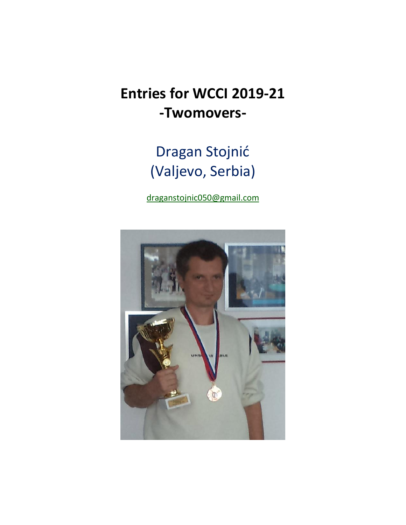## **Entries for WCCI 2019-21 -Twomovers-**

# Dragan Stojnić (Valjevo, Serbia)

draganstojnic050@gmail.com

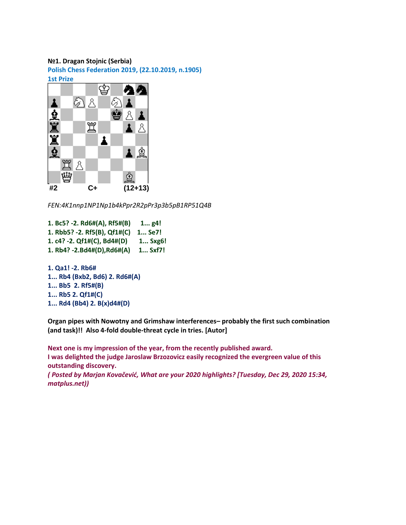#### **№1. Dragan Stojnic (Serbia)**

**Polish Chess Federation 2019, (22.10.2019, n.1905) 1st Prize**



*FEN:4K1nnp1NP1Np1b4kPpr2R2pPr3p3b5pB1RP51Q4B*

```
1. Bc5? -2. Rd6#(A), Rf5#(B) 1... g4!
1. Rbb5? -2. Rf5(B), Qf1#(C) 1... Se7! 
1. c4? -2. Qf1#(C), Bd4#(D) 1... Sxg6! 
1. Rb4? -2.Bd4#(D),Rd6#(A) 1... Sxf7!
```

```
1. Qa1! -2. Rb6# 
1... Rb4 (Bxb2, Bd6) 2. Rd6#(A) 
1... Bb5 2. Rf5#(B) 
1... Rb5 2. Qf1#(C) 
1... Rd4 (Bb4) 2. B(x)d4#(D)
```
**Organ pipes with Nowotny and Grimshaw interferences– probably the first such combination (and task)!! Also 4-fold double-threat cycle in tries. [Autor]**

**Next one is my impression of the year, from the recently published award. I was delighted the judge Jaroslaw Brzozovicz easily recognized the evergreen value of this outstanding discovery.**

*( Posted by Marjan Kovačević, What are your 2020 highlights? [Tuesday, Dec 29, 2020 15:34, matplus.net))*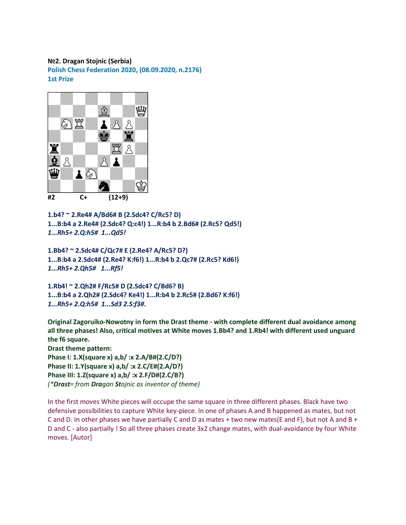#### **№2. Dragan Stojnic (Serbia)**

**Polish Chess Federation 2020, (08.09.2020, n.2176) 1st Prize**



**1.b4? ~ 2.Re4# A/Bd6# B (2.Sdc4? C/Rc5? D) 1...B:b4 a 2.Re4# (2.Sdc4? Q:c4!) 1...R:b4 b 2.Bd6# (2.Rc5? Qd5!)**  *1...Rh5+ 2.Q:h5# 1...Qd5!* 

**1.Bb4? ~ 2.Sdc4# C/Qc7# E (2.Re4? A/Rc5? D?) 1...B:b4 a 2.Sdc4# (2.Re4? K:f6!) 1...R:b4 b 2.Qc7# (2.Rc5? Kd6!)**  *1...Rh5+ 2.Qh5# 1...Rf5!* 

**1.Rb4! ~ 2.Qh2# F/Rc5# D (2.Sdc4? C/Bd6? B) 1...B:b4 a 2.Qh2# (2.Sdc4? Ke4!) 1...R:b4 b 2.Rc5# (2.Bd6? K:f6!)**  *1...Rh5+ 2.Q:h5# 1...Sd3 2.S:f3#.* 

**Original Zagoruiko-Nowotny in form the Drast theme - with complete different dual avoidance among all three phases! Also, critical motives at White moves 1.Bb4? and 1.Rb4! with different used unguard the f6 square.** 

**Drast theme pattern: Phase I: 1.X(square x) a,b/ :x 2.A/B#(2.C/D?) Phase II: 1.Y(square x) a,b/ :x 2.C/E#(2.A/D?) Phase III: 1.Z(square x) a,b/ :x 2.F/D#(2.C/B?)**  *(\*Drast= from Dragan Stojnic as inventor of theme)* 

In the first moves White pieces will occupe the same square in three different phases. Black have two defensive possibilities to capture White key-piece. In one of phases A and B happened as mates, but not C and D. In other phases we have partially C and D as mates  $+$  two new mates(E and F), but not A and B  $+$ D and C - also partially ! So all three phases create 3x2 change mates, with dual-avoidance by four White moves. [Autor]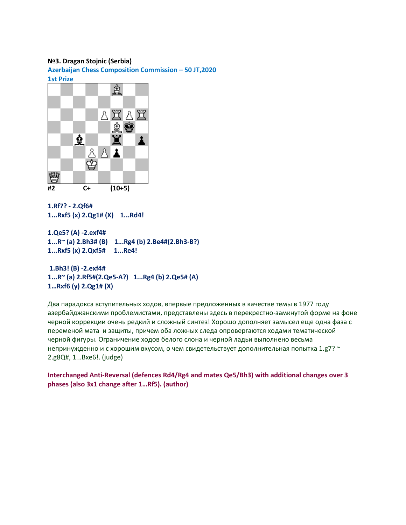#### **№3. Dragan Stojnic (Serbia)**

**Azerbaijan Chess Composition Commission – 50 JT,2020 1st Prize** 



**1.Rf7? - 2.Qf6# 1...Rxf5 (x) 2.Qg1# (X) 1...Rd4!**

**1.Qe5? (A) -2.exf4# 1...R~ (a) 2.Bh3# (B) 1...Rg4 (b) 2.Be4#(2.Bh3-B?) 1...Rxf5 (x) 2.Qxf5# 1...Re4!**

**1.Bh3! (B) -2.exf4# 1...R~ (a) 2.Rf5#(2.Qe5-A?) 1...Rg4 (b) 2.Qe5# (A) 1…Rxf6 (y) 2.Qg1# (X)**

Два парадокса вступительных ходов, впервые предложенных в качестве темы в 1977 году азербайджанскими проблемистами, представлены здесь в перекрестно-замкнутой форме на фоне черной коррекции очень редкий и сложный синтез! Хорошо дополняет замысел еще одна фаза с переменой мата и защиты, причем оба ложных следа опровергаются ходами тематической черной фигуры. Ограничение ходов белого слона и черной ладьи выполнено весьма непринужденно и с хорошим вкусом, о чем свидетельствует дополнительная попытка 1.g7?  $\sim$ 2.g8Q#, 1...Bxe6!. (judge)

**Interchanged Anti-Reversal (defences Rd4/Rg4 and mates Qe5/Bh3) with additional changes over 3 phases (also 3x1 change after 1…Rf5). (author)**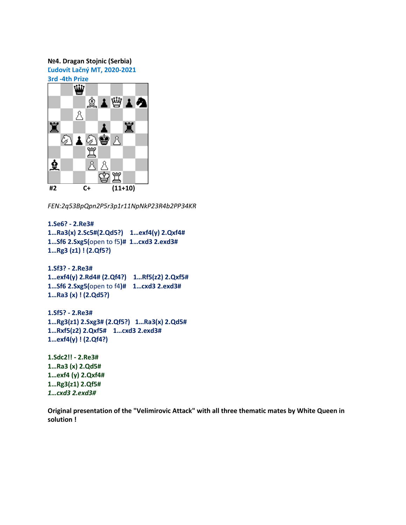### **№4. Dragan Stojnic (Serbia)**

**Ľudovít Lačný MT, 2020-2021 3rd -4th Prize** 



*FEN:2q53BpQpn2P5r3p1r11NpNkP23R4b2PP34KR*

```
1.Se6? - 2.Re3#
1…Ra3(x) 2.Sc5#(2.Qd5?) 1…exf4(y) 2.Qxf4#
1…Sf6 2.Sxg5(open to f5)# 1…cxd3 2.exd3#
1…Rg3 (z1) ! (2.Qf5?)
```
**1.Sf3? - 2.Re3# 1…exf4(y) 2.Rd4# (2.Qf4?) 1…Rf5(z2) 2.Qxf5# 1…Sf6 2.Sxg5(**open to f4**)# 1…cxd3 2.exd3# 1…Ra3 (x) ! (2.Qd5?)**

```
1.Sf5? - 2.Re3#
1…Rg3(z1) 2.Sxg3# (2.Qf5?) 1…Ra3(x) 2.Qd5#
1…Rxf5(z2) 2.Qxf5# 1…cxd3 2.exd3#
1…exf4(y) ! (2.Qf4?)
```
**1.Sdc2!! - 2.Re3# 1…Ra3 (x) 2.Qd5# 1…exf4 (y) 2.Qxf4# 1…Rg3(z1) 2.Qf5#** *1…cxd3 2.exd3#* 

**Original presentation of the "Velimirovic Attack" with all three thematic mates by White Queen in solution !**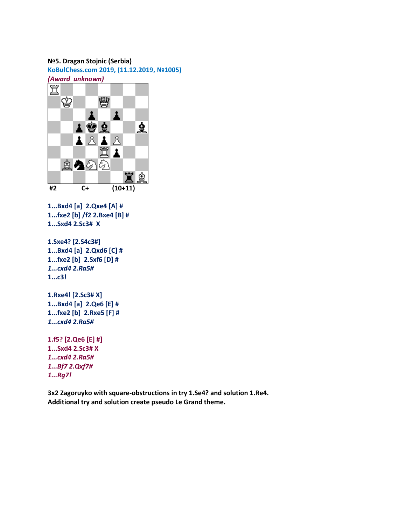#### **№5. Dragan Stojnic (Serbia)**

**KoBulChess.com 2019, (11.12.2019, №1005)** 



**1...Bxd4 [a] 2.Qxe4 [A] # 1...fxe2 [b] /f2 2.Bxe4 [B] # 1...Sxd4 2.Sc3# X**

**1.Sxe4? [2.S4c3#] 1...Bxd4 [a] 2.Qxd6 [C] # 1...fxe2 [b] 2.Sxf6 [D] #**  *1...cxd4 2.Ra5#* **1...c3!**

**1.Rxe4! [2.Sc3# X] 1...Bxd4 [a] 2.Qe6 [E] # 1...fxe2 [b] 2.Rxe5 [F] #** *1...cxd4 2.Ra5#*

**1.f5? [2.Qe6 [E] #] 1...Sxd4 2.Sc3# X** *1...cxd4 2.Ra5# 1...Bf7 2.Qxf7# 1...Rg7!*

**3x2 Zagoruyko with square-obstructions in try 1.Se4? and solution 1.Re4. Additional try and solution create pseudo Le Grand theme.**